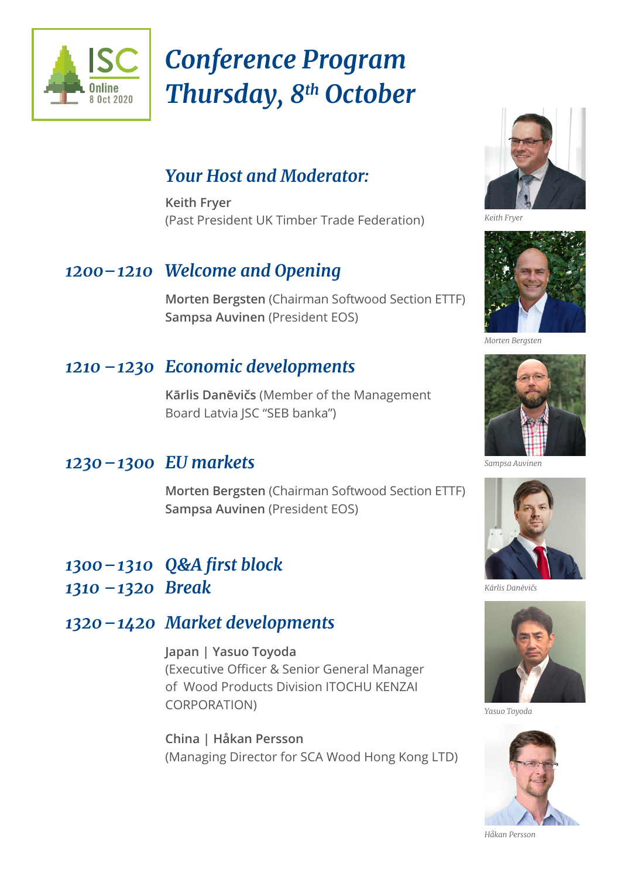

# *Conference Program Thursday, 8th October*

### *Your Host and Moderator:*

**Keith Fryer** (Past President UK Timber Trade Federation)

#### *1200–1210 Welcome and Opening*

 **Morten Bergsten** (Chairman Softwood Section ETTF) **Sampsa Auvinen** (President EOS)

#### *1210 –1230 Economic developments*

 **Kārlis Danēvičs** (Member of the Management Board Latvia JSC "SEB banka")

#### *1230–1300 EU markets*

 **Morten Bergsten** (Chairman Softwood Section ETTF)  **Sampsa Auvinen** (President EOS)

#### *1300 – 1310 Q&A first block 1310 –1320 Break*

# *1320–1420 Market developments*

 **Japan | Yasuo Toyoda** (Executive Officer & Senior General Manager of Wood Products Division ITOCHU KENZAI CORPORATION)

 **China | Håkan Persson**  (Managing Director for SCA Wood Hong Kong LTD)



*Keith Fryer*



*Morten Bergsten*



*Sampsa Auvinen*



*Kārlis Danēvičs*



*Yasuo Toyoda*



*Håkan Persson*